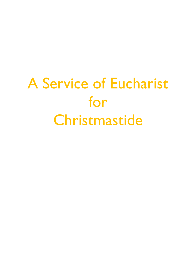# A Service of Eucharist for Christmastide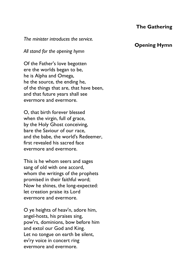#### *The minister introduces the service.*

#### *All stand for the opening hymn*

Of the Father's love begotten ere the worlds began to be, he is Alpha and Omega, he the source, the ending he, of the things that are, that have been, and that future years shall see evermore and evermore.

O, that birth forever blessed when the virgin, full of grace, by the Holy Ghost conceiving, bare the Saviour of our race, and the babe, the world's Redeemer, first revealed his sacred face evermore and evermore.

This is he whom seers and sages sang of old with one accord, whom the writings of the prophets promised in their faithful word; Now he shines, the long-expected: let creation praise its Lord evermore and evermore.

O ye heights of heav'n, adore him, angel-hosts, his praises sing, pow'rs, dominions, bow before him and extol our God and King. Let no tongue on earth be silent, ev'ry voice in concert ring evermore and evermore.

#### **Opening Hymn**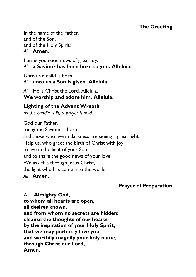## **The Greeting**

In the name of the Father, and of the Son, and of the Holy Spirit: *All* **Amen.**

I bring you good news of great joy: *All* **a Saviour has been born to you. Alleluia.**

Unto us a child is born, *All* **unto us a Son is given. Alleluia.**

*All* He is Christ the Lord. Alleluia. **We worship and adore him. Alleluia.**

## **Lighting of the Advent Wreath**

*As the candle is lit, a prayer is said* 

God our Father, today the Saviour is born and those who live in darkness are seeing a great light. Help us, who greet the birth of Christ with joy, to live in the light of your Son and to share the good news of your love. We ask this through Jesus Christ, the light who has come into the world. *All* **Amen.**

## **Prayer of Preparation**

All **Almighty God, to whom all hearts are open, all desires known, and from whom no secrets are hidden: cleanse the thoughts of our hearts by the inspiration of your Holy Spirit, that we may perfectly love you and worthily magnify your holy name, through Christ our Lord, Amen.**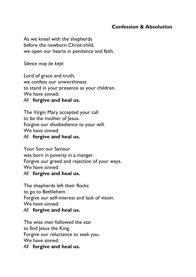## **Confession & Absolution**

As we kneel with the shepherds before the newborn Christ-child, we open our hearts in penitence and faith.

#### *Silence may be kept*

Lord of grace and truth, we confess our unworthiness to stand in your presence as your children. We have sinned:

#### *All* **forgive and heal us.**

The Virgin Mary accepted your call to be the mother of Jesus. Forgive our disobedience to your will. We have sinned:

#### *All* **forgive and heal us.**

Your Son our Saviour was born in poverty in a manger. Forgive our greed and rejection of your ways. We have sinned:

#### *All* **forgive and heal us.**

The shepherds left their flocks to go to Bethlehem. Forgive our self-interest and lack of vision. We have sinned: *All* **forgive and heal us.**

#### The wise men followed the star to find Jesus the King. Forgive our reluctance to seek you. We have sinned:

*All* **forgive and heal us.**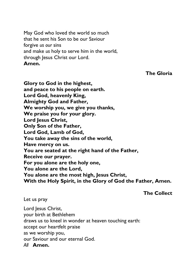May God who loved the world so much that he sent his Son to be our Saviour forgive *us our* sins and make *us* holy to serve him in the world, through Jesus Christ our Lord. **Amen.**

#### **The Gloria**

**Glory to God in the highest, and peace to his people on earth. Lord God, heavenly King, Almighty God and Father, We worship you, we give you thanks, We praise you for your glory. Lord Jesus Christ, Only Son of the Father, Lord God, Lamb of God, You take away the sins of the world, Have mercy on us. You are seated at the right hand of the Father, Receive our prayer. For you alone are the holy one, You alone are the Lord, You alone are the most high, Jesus Christ, With the Holy Spirit, in the Glory of God the Father, Amen.**

**The Collect**

Let us pray

Lord Jesus Christ, your birth at Bethlehem draws us to kneel in wonder at heaven touching earth: accept our heartfelt praise as we worship you, our Saviour and our eternal God. *All* **Amen.**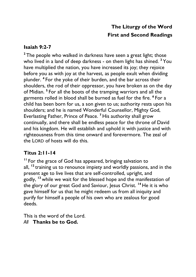# **The Liturgy of the Word First and Second Readings**

## **Isaiah 9:2-7**

<sup>2</sup> The people who walked in darkness have seen a great light; those who lived in a land of deep darkness - on them light has shined. **<sup>3</sup>** You have multiplied the nation, you have increased its joy; they rejoice before you as with joy at the harvest, as people exult when dividing plunder. **<sup>4</sup>** For the yoke of their burden, and the bar across their shoulders, the rod of their oppressor, you have broken as on the day of Midian. **<sup>5</sup>** For all the boots of the tramping warriors and all the garments rolled in blood shall be burned as fuel for the fire. **<sup>6</sup>** For a child has been born for us, a son given to us; authority rests upon his shoulders; and he is named Wonderful Counsellor, Mighty God, Everlasting Father, Prince of Peace. **<sup>7</sup>** His authority shall grow continually, and there shall be endless peace for the throne of David and his kingdom. He will establish and uphold it with justice and with righteousness from this time onward and forevermore. The zeal of the LORD of hosts will do this.

## **Titus 2:11-14**

**<sup>11</sup>** For the grace of God has appeared, bringing salvation to all, **<sup>12</sup>** training us to renounce impiety and worldly passions, and in the present age to live lives that are self-controlled, upright, and godly, **<sup>13</sup>** while we wait for the blessed hope and the manifestation of the glory of our great God and Saviour, Jesus Christ. **<sup>14</sup>** He it is who gave himself for us that he might redeem us from all iniquity and purify for himself a people of his own who are zealous for good deeds.

This is the word of the Lord. *All* **Thanks be to God.**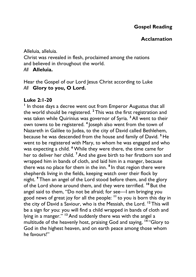#### **Acclamation**

Alleluia, alleluia.

Christ was revealed in flesh, proclaimed among the nations and believed in throughout the world.

*All* **Alleluia.**

Hear the Gospel of our Lord Jesus Christ according to Luke *All* **Glory to you, O Lord.** 

#### **Luke 2:1-20**

<sup>1</sup> In those days a decree went out from Emperor Augustus that all the world should be registered. **<sup>2</sup>** This was the first registration and was taken while Quirinius was governor of Syria. **<sup>3</sup>** All went to their own towns to be registered. **<sup>4</sup>** Joseph also went from the town of Nazareth in Galilee to Judea, to the city of David called Bethlehem, because he was descended from the house and family of David. **<sup>5</sup>** He went to be registered with Mary, to whom he was engaged and who was expecting a child. **<sup>6</sup>**While they were there, the time came for her to deliver her child. **<sup>7</sup>** And she gave birth to her firstborn son and wrapped him in bands of cloth, and laid him in a manger, because there was no place for them in the inn. **<sup>8</sup>** In that region there were shepherds living in the fields, keeping watch over their flock by night. **<sup>9</sup>** Then an angel of the Lord stood before them, and the glory of the Lord shone around them, and they were terrified. **<sup>10</sup>** But the angel said to them, "Do not be afraid; for see—I am bringing you good news of great joy for all the people: **<sup>11</sup>** to you is born this day in the city of David a Saviour, who is the Messiah, the Lord. **<sup>12</sup>** This will be a sign for you: you will find a child wrapped in bands of cloth and lying in a manger." **<sup>13</sup>** And suddenly there was with the angel a multitude of the heavenly host, praising God and saying, **<sup>14</sup>** "Glory to God in the highest heaven, and on earth peace among those whom he favours!"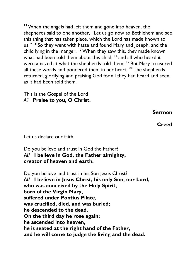**<sup>15</sup>**When the angels had left them and gone into heaven, the shepherds said to one another, "Let us go now to Bethlehem and see this thing that has taken place, which the Lord has made known to us." **<sup>16</sup>** So they went with haste and found Mary and Joseph, and the child lying in the manger. **<sup>17</sup>**When they saw this, they made known what had been told them about this child; **<sup>18</sup>** and all who heard it were amazed at what the shepherds told them. **<sup>19</sup>** But Mary treasured all these words and pondered them in her heart. **<sup>20</sup>** The shepherds returned, glorifying and praising God for all they had heard and seen, as it had been told them.

This is the Gospel of the Lord *All* **Praise to you, O Christ.** 

**Sermon**

**Creed**

Let us declare our faith

Do you believe and trust in God the Father? *All* **I believe in God, the Father almighty, creator of heaven and earth.**

Do you believe and trust in his Son Jesus Christ? *All* **I believe in Jesus Christ, his only Son, our Lord, who was conceived by the Holy Spirit, born of the Virgin Mary, suffered under Pontius Pilate, was crucified, died, and was buried; he descended to the dead. On the third day he rose again; he ascended into heaven, he is seated at the right hand of the Father, and he will come to judge the living and the dead.**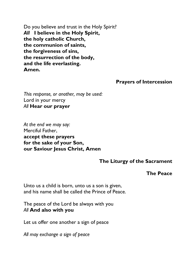Do you believe and trust in the Holy Spirit? *All* **I believe in the Holy Spirit, the holy catholic Church, the communion of saints, the forgiveness of sins, the resurrection of the body, and the life everlasting. Amen.**

#### **Prayers of Intercession**

*This response, or another, may be used:* Lord in your mercy *All* **Hear our prayer**

*At the end we may say:* Merciful Father, **accept these prayers for the sake of your Son, our Saviour Jesus Christ, Amen**

#### **The Liturgy of the Sacrament**

#### **The Peace**

Unto us a child is born, unto us a son is given, and his name shall be called the Prince of Peace.

The peace of the Lord be always with you *All* **And also with you**

Let us offer one another a sign of peace

*All may exchange a sign of peace*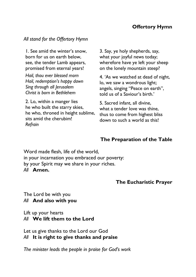## **Offertory Hymn**

#### *All stand for the Offertory Hymn*

1. See amid the winter's snow, born for us on earth below, see, the tender Lamb appears, promised from eternal years!

*Hail, thou ever blessed morn Hail, redemption's happy dawn Sing through all Jerusalem Christ is born in Bethlehem*

2. Lo, within a manger lies he who built the starry skies, he who, throned in height sublime, sits amid the cherubim! *Refrain*

3. Say, ye holy shepherds, say, what your joyful news today; wherefore have ye left your sheep on the lonely mountain steep?

4. 'As we watched at dead of night, lo, we saw a wondrous light; angels, singing "Peace on earth", told us of a Saviour's birth.'

5. Sacred infant, all divine, what a tender love was thine. thus to come from highest bliss down to such a world as this!

#### **The Preparation of the Table**

Word made flesh, life of the world, in your incarnation you embraced our poverty: by your Spirit may we share in your riches. *All* **Amen.**

#### **The Eucharistic Prayer**

The Lord be with you *All* **And also with you**

Lift up your hearts

*All* **We lift them to the Lord**

Let us give thanks to the Lord our God *All* **It is right to give thanks and praise**

*The minister leads the people in praise for God's work*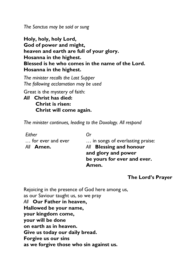*The Sanctus may be said or sung*

**Holy, holy, holy Lord, God of power and might, heaven and earth are full of your glory. Hosanna in the highest. Blessed is he who comes in the name of the Lord. Hosanna in the highest.**

*The minister recalls the Last Supper The following acclamation may be used*

Great is the mystery of faith:

*All* **Christ has died: Christ is risen: Christ will come again.**

*The minister continues, leading to the Doxology. All respond*

| Either            | 0r                              |
|-------------------|---------------------------------|
| for ever and ever | in songs of everlasting praise: |
| All <b>Amen.</b>  | All Blessing and honour         |
|                   | and glory and power             |
|                   | be yours for ever and ever.     |
|                   | Amen.                           |

#### **The Lord's Prayer**

Rejoicing in the presence of God here among us, as our Saviour taught us, so we pray *All* **Our Father in heaven, Hallowed be your name, your kingdom come, your will be done on earth as in heaven. Give us today our daily bread. Forgive us our sins as we forgive those who sin against us.**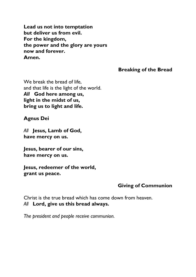**Lead us not into temptation but deliver us from evil. For the kingdom, the power and the glory are yours now and forever. Amen.**

**Breaking of the Bread**

We break the bread of life. and that life is the light of the world. *All* **God here among us, light in the midst of us, bring us to light and life.**

**Agnus Dei**

*All* **Jesus, Lamb of God, have mercy on us.**

**Jesus, bearer of our sins, have mercy on us.**

**Jesus, redeemer of the world, grant us peace.**

#### **Giving of Communion**

Christ is the true bread which has come down from heaven. *All* **Lord, give us this bread always.**

*The president and people receive communion.*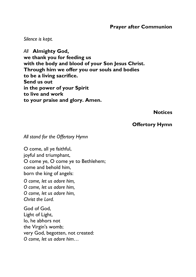#### **Prayer after Communion**

*Silence is kept.*

*All* **Almighty God, we thank you for feeding us with the body and blood of your Son Jesus Christ. Through him we offer you our souls and bodies to be a living sacrifice. Send us out in the power of your Spirit to live and work to your praise and glory. Amen.**

**Notices**

#### **Offertory Hymn**

#### *All stand for the Offertory Hymn*

O come, all ye faithful, joyful and triumphant, O come ye, O come ye to Bethlehem; come and behold him, born the king of angels:

*O come, let us adore him, O come, let us adore him, O come, let us adore him, Christ the Lord.*

God of God, Light of Light, lo, he abhors not the Virgin's womb; very God, begotten, not created: *O come, let us adore him…*